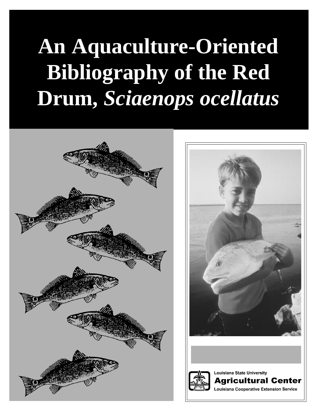# **An Aquaculture-Oriented Bibliography of the Red Drum,** *Sciaenops ocellatus*







Louisiana State University Agricultural Center ouisiana Cooperative Extension Service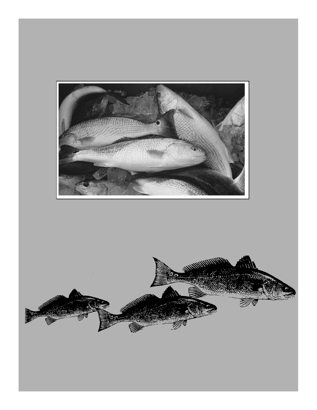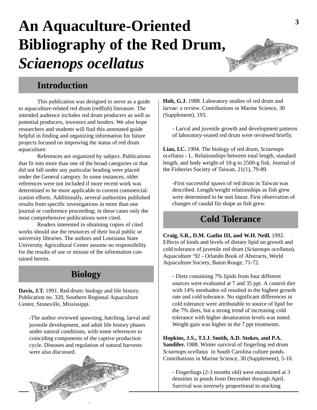## **An Aquaculture-Oriented Bibliography of the Red Drum,** *Sciaenops ocellatus*

## **Introduction**

This publication was designed to serve as a guide to aquaculture-related red drum (redfish) literature. The intended audience includes red drum producers as well as potential producers, investors and lenders. We also hope researchers and students will find this annotated guide helpful in finding and organizing information for future projects focused on improving the status of red drum aquaculture.

References are organized by subject. Publications that fit into more than one of the broad categories or that did not fall under any particular heading were placed under the General category. In some instances, older references were not included if more recent work was determined to be more applicable to current commercialization efforts. Additionally, several authorities published results from specific investigations in more than one journal or conference proceeding; in these cases only the most comprehensive publications were cited.

Readers interested in obtaining copies of cited works should use the resources of their local public or university libraries. The authors and Louisiana State University Agricultural Center assume no responsibility for the results of use or misuse of the information contained herein.

## **Biology**

**Davis, J.T.** 1991. Red drum: biology and life history. Publication no. 320, Southern Regional Aquaculture Center, Stoneville, Mississippi.

-The author reviewed spawning, hatching, larval and juvenile development, and adult life history phases under natural conditions, with some references to coinciding components of the captive production cycle. Diseases and regulation of natural harvests were also discussed.



**Holt, G.J.** 1988. Laboratory studies of red drum and larvae: a review. Contributions in Marine Science, 30 (Supplement), 193.

- Larval and juvenile growth and development patterns of laboratory-reared red drum were reviewed briefly.

**Liao, I.C.** 1994. The biology of red drum, *Sciaenops ocellatus* - L. Relationships between total length, standard length, and body weight of 10-g to 2500-g fish. Journal of the Fisheries Society of Taiwan, 21(1), 79-89.

-First successful spawn of red drum in Taiwan was described. Length/weight relationships as fish grew were determined to be non linear. First observation of changes of caudal fin shape as fish grew.

#### **Cold Tolerance**

**Craig, S.R., D.M. Gatlin III, and W.H. Neill.** 1992. Effects of kinds and levels of dietary lipid on growth and cold tolerance of juvenile red drum (*Sciaenops ocellatus*). Aquaculture '92 - Orlando Book of Abstracts, World Aquaculture Society, Baton Rouge, 71-72.

- Diets containing 7% lipids from four different sources were evaluated at 7 and 35 ppt. A control diet with 14% menhaden oil resulted in the highest growth rate and cold tolerance. No significant differences in cold tolerance were attributable to source of lipid for the 7% diets, but a strong trend of increasing cold tolerance with higher desaturation levels was noted. Weight gain was higher in the 7 ppt treatments.

**Hopkins, J.S., T.I.J. Smith, A.D. Stokes, and P.A. Sandifer.** 1988. Winter survival of fingerling red drum *Sciaenops ocellatus* in South Carolina culture ponds. Contributions in Marine Science, 30 (Supplement), 5-10.

- Fingerlings (2-3 months old) were maintained at 3 densities in ponds from December through April. Survival was inversely proportional to stocking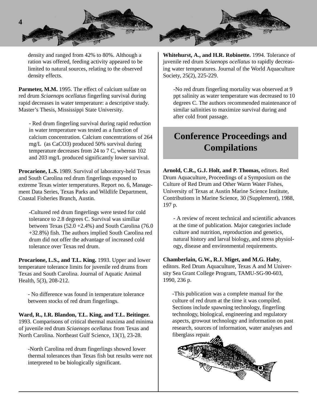

density and ranged from 42% to 80%. Although a ration was offered, feeding activity appeared to be limited to natural sources, relating to the observed density effects.

**Parmeter, M.M.** 1995. The effect of calcium sulfate on red drum *Sciaenops ocellatus* fingerling survival during rapid decreases in water temperature: a descriptive study. Master's Thesis, Mississippi State University.

- Red drum fingerling survival during rapid reduction in water temperature was tested as a function of calcium concentration. Calcium concentrations of 264 mg/L (as CaCO3) produced 50% survival during temperature decreases from 24 to 7 C, whereas 102 and 203 mg/L produced significantly lower survival.

**Procarione, L.S.** 1989. Survival of laboratory-held Texas and South Carolina red drum fingerlings exposed to extreme Texas winter temperatures. Report no. 6, Management Data Series, Texas Parks and Wildlife Department, Coastal Fisheries Branch, Austin.

-Cultured red drum fingerlings were tested for cold tolerance to 2.8 degrees C. Survival was similiar between Texas  $(52.0 + 2.4%)$  and South Carolina  $(76.0)$ +32.8%) fish. The authors implied South Carolina red drum did not offer the advantage of increased cold tolerance over Texas red drum.

Procarione, L.S., and T.L. King. 1993. Upper and lower temperature tolerance limits for juvenile red drums from Texas and South Carolina. Journal of Aquatic Animal Health, 5(3), 208-212.

- No difference was found in temperature tolerance between stocks of red drum fingerlings.

**Ward, R., I.R. Blandon, T.L. King, and T.L. Beitinger.** 1993. Comparisons of critical thermal maxima and minima of juvenile red drum *Sciaenops ocellatus* from Texas and North Carolina. Northeast Gulf Science, 13(1), 23-28.

-North Carolina red drum fingerlings showed lower thermal tolerances than Texas fish but results were not interpreted to be biologically significant.

**Whitehurst, A., and H.R. Robinette.** 1994. Tolerance of juvenile red drum *Sciaenops ocellatus* to rapidly decreasing water temperatures. Journal of the World Aquaculture Society, 25(2), 225-229.

-No red drum fingerling mortality was observed at 9 ppt salinity as water temperature was decreased to 10 degrees C. The authors recommended maintenance of similar salinities to maximize survival during and after cold front passage.

## **Conference Proceedings and Compilations**

**Arnold, C.R., G.J. Holt, and P. Thomas,** editors. Red Drum Aquaculture, Proceedings of a Symposium on the Culture of Red Drum and Other Warm Water Fishes, University of Texas at Austin Marine Science Institute, Contributions in Marine Science, 30 (Supplement), 1988, 197 p.

- A review of recent technical and scientific advances at the time of publication. Major categories include culture and nutrition, reproduction and genetics, natural history and larval biology, and stress physiology, disease and environmental requirements.

**Chamberlain, G.W., R.J. Miget, and M.G. Haby**, editors. Red Drum Aquaculture, Texas A and M University Sea Grant College Program, TAMU-SG-90-603, 1990, 236 p.

-This publication was a complete manual for the culture of red drum at the time it was compiled. Sections include spawning technology, fingerling technology, biological, engineering and regulatory aspects, growout technology and information on past research, sources of information, water analyses and fiberglass repair.

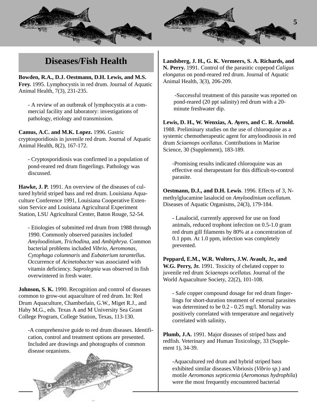



#### **Diseases/Fish Health**

**Bowden, R.A., D.J. Oestmann, D.H. Lewis, and M.S. Frey.** 1995. Lymphocystis in red drum. Journal of Aquatic Animal Health, 7(3), 231-235.

- A review of an outbreak of lymphocystis at a commercial facility and laboratory: investigations of pathology, etiology and transmission.

**Camus, A.C. and M.K. Lopez.** 1996. Gastric cryptosporidiosis in juvenile red drum. Journal of Aquatic Animal Health, 8(2), 167-172.

- Cryptosporidiosis was confirmed in a population of pond-reared red drum fingerlings. Pathology was discussed.

**Hawke, J. P.** 1991. An overview of the diseases of cultured hybrid striped bass and red drum. Louisiana Aquaculture Conference 1991, Louisiana Cooperative Extension Service and Louisiana Agricultural Experiment Station, LSU Agricultural Center, Baton Rouge, 52-54.

- Etiologies of submitted red drum from 1988 through 1990. Commonly observed parasites included *Amyloodinium, Trichodina*, and *Ambiphrya.* Common bacterial problems included *Vibrio, Aeromonas, Cytophaga columnaris* and *Eubaterium tarantellus.* Occurrence of *Acinetobacter* was associated with vitamin deficiency. *Saprolegnia* was observed in fish overwintered in fresh water.

**Johnson, S. K.** 1990. Recognition and control of diseases common to grow-out aquaculture of red drum. In: Red Drum Aquaculture, Chamberlain, G.W., Miget R.J., and Haby M.G., eds. Texas A and M University Sea Grant College Program, College Station, Texas, 113-130.

-A comprehensive guide to red drum diseases. Identification, control and treatment options are presented. Included are drawings and photographs of common disease organisms.



**Landsberg, J. H., G. K. Vermeers, S. A. Richards, and N. Perry.** 1991. Control of the parasitic copepod *Caligus elongatus* on pond-reared red drum. Journal of Aquatic Animal Health, 3(3), 206-209.

-Successful treatment of this parasite was reported on pond-reared (20 ppt salinity) red drum with a 20 minute freshwater dip.

**Lewis, D. H., W. Wenxias, A. Ayers, and C. R. Arnold.** 1988. Preliminary studies on the use of chloroquine as a systemic chemotherapeutic agent for amyloodinosis in red drum *Sciaenops ocellatus*. Contributions in Marine Science, 30 (Supplement), 183-189.

-Promising results indicated chloroquine was an effective oral therapeutant for this difficult-to-control parasite.

**Oestmann, D.J., and D.H. Lewis**. 1996. Effects of 3, Nmethylglucamine lasalocid on *Amyloodinium ocellatum.* Diseases of Aquatic Organisms, 24(3), 179-184.

- Lasalocid, currently approved for use on food animals, reduced trophont infection on 0.5-1.0 gram red drum gill filaments by 80% at a concentration of 0.1 ppm. At 1.0 ppm, infection was completely prevented.

**Peppard, E.M., W.R. Wolters, J.W. Avault, Jr., and W.G. Perry, Jr.** 1991. Toxicity of chelated copper to juvenile red drum *Sciaenops ocellatus*. Journal of the World Aquaculture Society, 22(2), 101-108.

- Safe copper compound dosage for red drum fingerlings for short-duration treatment of external parasites was determined to be 0.2 - 0.25 mg/l. Mortality was positively correlated with temperature and negatively correlated with salinity**.**

**Plumb, J.A.** 1991. Major diseases of striped bass and redfish. Veterinary and Human Toxicology, 33 (Supplement 1), 34-39.

-Aquacultured red drum and hybrid striped bass exhibited similar diseases.Vibriosis (*Vibrio sp*.) and motile *Aeromonas septicemia* (*Aeromonas hydrophila*) were the most frequently encountered bacterial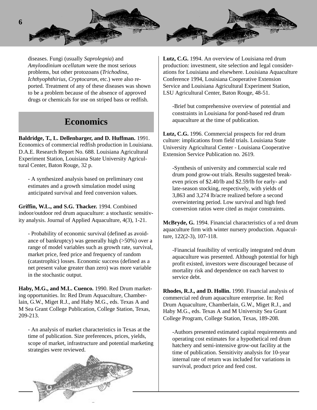

diseases. Fungi (usually *Saprolegnia*) and *Amyloodinium ocellatum* were the most serious problems, but other protozoans (*Trichodina, Ichthyophthirius, Cryptocaron,* etc.) were also reported. Treatment of any of these diseases was shown to be a problem because of the absence of approved drugs or chemicals for use on striped bass or redfish.

#### **Economics**

**Baldridge, T., L. Dellenbarger, and D. Huffman.** 1991. Economics of commercial redfish production in Louisiana. D.A.E. Research Report No. 688. Louisiana Agricultural Experiment Station, Louisiana State University Agricultural Center, Baton Rouge, 32 p.

- A synthesized analysis based on preliminary cost estimates and a growth simulation model using anticipated survival and feed conversion values.

**Griffin, W.L., and S.G. Thacker.** 1994. Combined indoor/outdoor red drum aquaculture: a stochastic sensitivity analysis. Journal of Applied Aquaculture, 4(3), 1-21.

- Probability of economic survival (defined as avoidance of bankruptcy) was generally high (>50%) over a range of model variables such as growth rate, survival, market price, feed price and frequency of random (catastrophic) losses. Economic success (defined as a net present value greater than zero) was more variable in the stochastic output.

**Haby, M.G., and M.L. Cuenco.** 1990. Red Drum marketing opportunities. In: Red Drum Aquaculture, Chamberlain, G.W., Miget R.J., and Haby M.G., eds. Texas A and M Sea Grant College Publication, College Station, Texas, 209-213.

- An analysis of market characteristics in Texas at the time of publication. Size preferences, prices, yields, scope of market, infrastructure and potential marketing strategies were reviewed.



**Lutz, C.G.** 1994. An overview of Louisiana red drum production: investment, site selection and legal considerations for Louisiana and elsewhere. Louisiana Aquaculture Conference 1994, Louisiana Cooperative Extension Service and Louisiana Agricultural Experiment Station, LSU Agricultural Center, Baton Rouge, 48-51.

-Brief but comprehensive overview of potential and constraints in Louisiana for pond-based red drum aquaculture at the time of publication.

**Lutz, C.G.** 1996. Commercial prospects for red drum culture: implications from field trials. Louisiana State University Agricultural Center - Louisiana Cooperative Extension Service Publication no. 2619.

-Synthesis of university and commercial scale red drum pond grow-out trials. Results suggested breakeven prices of \$2.40/lb and \$2.59/lb for early- and late-season stocking, respectively, with yields of 3,863 and 3,274 lb/acre realized before a second overwintering period. Low survival and high feed conversion ratios were cited as major constraints.

**McBryde, G.** 1994. Financial characteristics of a red drum aquaculture firm with winter nursery production. Aquaculture, 122(2-3), 107-118.

-Financial feasibility of vertically integrated red drum aquaculture was presented. Although potential for high profit existed, investors were discouraged because of mortality risk and dependence on each harvest to service debt.

**Rhodes, R.J., and D. Hollin.** 1990. Financial analysis of commercial red drum aquaculture enterprise. In: Red Drum Aquaculture, Chamberlain, G.W., Miget R.J., and Haby M.G., eds. Texas A and M University Sea Grant College Program, College Station, Texas, 189-208.

-Authors presented estimated capital requirements and operating cost estimates for a hypothetical red drum hatchery and semi-intensive grow-out facility at the time of publication. Sensitivity analysis for 10-year internal rate of return was included for variations in survival, product price and feed cost.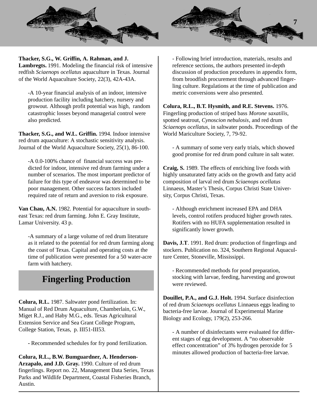

**Thacker, S.G., W. Griffin, A. Rahman, and J. Lambregts.** 1991. Modeling the financial risk of intensive redfish *Sciaenops ocellatus* aquaculture in Texas. Journal of the World Aquaculture Society, 22(3), 42A-43A.

-A 10-year financial analysis of an indoor, intensive production facility including hatchery, nursery and growout. Although profit potential was high, random catastrophic losses beyond managerial control were also predicted.

**Thacker, S.G., and W.L. Griffin.** 1994. Indoor intensive red drum aquaculture: A stochastic sensitivity analysis. Journal of the World Aquaculture Society, 25(1), 86-100.

-A 0.0-100% chance of financial success was predicted for indoor, intensive red drum farming under a number of scenarios. The most important predictor of failure for this type of endeavor was determined to be poor management. Other success factors included required rate of return and aversion to risk exposure.

**Van Chau, A.N.** 1982. Potential for aquaculture in southeast Texas: red drum farming. John E. Gray Institute, Lamar University. 43 p.

-A summary of a large volume of red drum literature as it related to the potential for red drum farming along the coast of Texas. Capital and operating costs at the time of publication were presented for a 50 water-acre farm with hatchery.

## **Fingerling Production**

**Colura, R.L.** 1987. Saltwater pond fertilization. In: Manual of Red Drum Aquaculture, Chamberlain, G.W., Miget R.J., and Haby M.G., eds. Texas Agricultural Extension Service and Sea Grant College Program, College Station, Texas, p. III51-III53.

**-** Recommended schedules for fry pond fertilization.

**Colura, R.L., B.W. Bumguardner, A. Henderson-Arzapalo, and J.D. Gray.** 1990. Culture of red drum fingerlings. Report no. 22, Management Data Series, Texas Parks and Wildlife Department, Coastal Fisheries Branch, Austin.

- Following brief introduction, materials, results and reference sections, the authors presented in-depth discussion of production procedures in appendix form, from broodfish procurement through advanced fingerling culture. Regulations at the time of publication and metric conversions were also presented.

#### **Colura, R.L., B.T. Hysmith, and R.E. Stevens.** 1976. Fingerling production of striped bass *Morone saxatilis*, spotted seatrout, *Cynoscion nebulosis*, and red drum *Sciaenops ocellatus*, in saltwater ponds. Proceedings of the World Mariculture Society, 7, 79-92.

- A summary of some very early trials, which showed good promise for red drum pond culture in salt water.

**Craig, S.** 1989. The effects of enriching live foods with highly unsaturated fatty acids on the growth and fatty acid composition of larval red drum *Sciaenops ocellatus* Linnaeus, Master's Thesis, Corpus Christi State University, Corpus Christi, Texas.

- Although enrichment increased EPA and DHA levels, control rotifers produced higher growth rates. Rotifers with no HUFA supplementation resulted in significantly lower growth.

**Davis, J.T**. 1991. Red drum: production of fingerlings and stockers. Publication no. 324, Southern Regional Aquaculture Center, Stoneville, Mississippi.

- Recommended methods for pond preparation, stocking with larvae, feeding, harvesting and growout were reviewed.

**Douillet, P.A., and G.J. Holt.** 1994. Surface disinfection of red drum *Sciaenops ocellatus* Linnaeus eggs leading to bacteria-free larvae. Journal of Experimental Marine Biology and Ecology, 179(2), 253-266.

- A number of disinfectants were evaluated for different stages of egg development. A "no observable effect concentration" of 3% hydrogen peroxide for 5 minutes allowed production of bacteria-free larvae.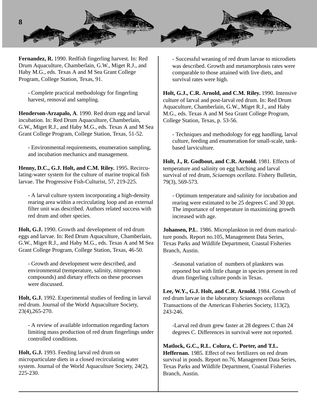

**Fernandez, R.** 1990. Redfish fingerling harvest. In: Red Drum Aquaculture, Chamberlain, G.W., Miget R.J., and Haby M.G., eds. Texas A and M Sea Grant College Program, College Station, Texas, 91.

- Complete practical methodology for fingerling harvest, removal and sampling.

**Henderson-Arzapalo, A**. 1990. Red drum egg and larval incubation. In: Red Drum Aquaculture, Chamberlain, G.W., Miget R.J., and Haby M.G., eds. Texas A and M Sea Grant College Program, College Station, Texas, 51-52.

- Environmental requirements, enumeration sampling, and incubation mechanics and management.

**Henny, D.C., G.J. Holt, and C.M. Riley.** 1995. Recirculating-water system for the culture of marine tropical fish larvae. The Progressive Fish-Culturist, 57, 219-225.

- A larval culture system incorporating a high-density rearing area within a recirculating loop and an external filter unit was described. Authors related success with red drum and other species.

**Holt, G.J.** 1990. Growth and development of red drum eggs and larvae. In: Red Drum Aquaculture, Chamberlain, G.W., Miget R.J., and Haby M.G., eds. Texas A and M Sea Grant College Program, College Station, Texas, 46-50.

- Growth and development were described, and environmental (temperature, salinity, nitrogenous compounds) and dietary effects on these processes were discussed.

**Holt, G.J.** 1992. Experimental studies of feeding in larval red drum. Journal of the World Aquaculture Society, 23(4),265-270.

- A review of available information regarding factors limiting mass production of red drum fingerlings under controlled conditions.

**Holt, G.J.** 1993. Feeding larval red drum on microparticulate diets in a closed recirculating water system. Journal of the World Aquaculture Society, 24(2), 225-230.

- Successful weaning of red drum larvae to microdiets was described. Growth and metamorphosis rates were comparable to those attained with live diets, and survival rates were high.

**Holt, G.J., C.R. Arnold, and C.M. Riley.** 1990. Intensive culture of larval and post-larval red drum. In: Red Drum Aquaculture, Chamberlain, G.W., Miget R.J., and Haby M.G., eds. Texas A and M Sea Grant College Program, College Station, Texas, p. 53-56.

- Techniques and methodology for egg handling, larval culture, feeding and enumeration for small-scale, tankbased larviculture.

**Holt, J., R. Godbout, and C.R. Arnold.** 1981. Effects of temperature and salinity on egg hatching and larval survival of red drum, *Sciaenops ocellata*. Fishery Bulletin, 79(3), 569-573.

- Optimum temperature and salinity for incubation and rearing were estimated to be 25 degrees C and 30 ppt. The importance of temperature in maximizing growth increased with age.

**Johansen, P.L**. 1986. Microplankton in red drum mariculture ponds. Report no.105, Management Data Series, Texas Parks and Wildlife Department, Coastal Fisheries Branch, Austin.

-Seasonal variation of numbers of plankters was reported but with little change in species present in red drum fingerling culture ponds in Texas.

**Lee, W.Y., G.J. Holt, and C.R. Arnold.** 1984. Growth of red drum larvae in the laboratory *Sciaenops ocellatus* Transactions of the American Fisheries Society, 113(2), 243-246.

-Larval red drum grew faster at 28 degrees C than 24 degrees C. Differences in survival were not reported.

**Matlock, G.C., R.L. Colura, C. Porter, and T.L. Heffernan.** 1985. Effect of two fertilizers on red drum survival in ponds. Report no.76, Management Data Series, Texas Parks and Wildlife Department, Coastal Fisheries Branch, Austin.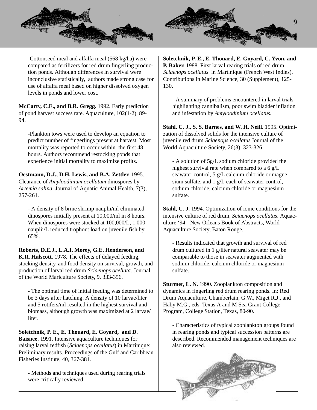

**9**

-Cottonseed meal and alfalfa meal (568 kg/ha) were compared as fertilizers for red drum fingerling production ponds. Although differences in survival were inconclusive statistically, authors made strong case for use of alfalfa meal based on higher dissolved oxygen levels in ponds and lower cost.

**McCarty, C.E., and B.R. Gregg.** 1992. Early prediction of pond harvest success rate. Aquaculture, 102(1-2), 89- 94.

-Plankton tows were used to develop an equation to predict number of fingerlings present at harvest. Most mortality was reported to occur within the first 48 hours. Authors recommend restocking ponds that experience initial mortality to maximize profits.

**Oestmann, D.J., D.H. Lewis, and B.A. Zettler.** 1995. Clearance of *Amyloodinium ocellatum* dinospores by *Artemia salina*. Journal of Aquatic Animal Health, 7(3), 257-261.

- A density of 8 brine shrimp nauplii/ml eliminated dinospores initially present at 10,000/ml in 8 hours. When dinospores were stocked at 100,000/L, 1,000 nauplii/L reduced trophont load on juvenile fish by 65%.

**Roberts, D.E.J., L.A.I. Morey, G.E. Henderson, and K.R. Halscott.** 1978. The effects of delayed feeding, stocking density, and food density on survival, growth, and production of larval red drum *Sciaenops ocellata*. Journal of the World Mariculture Society, 9, 333-356.

- The optimal time of initial feeding was determined to be 3 days after hatching. A density of 10 larvae/liter and 5 rotifers/ml resulted in the highest survival and biomass, although growth was maximized at 2 larvae/ liter.

**Soletchnik, P. E., E. Thouard, E. Goyard, and D. Baisnee.** 1991. Intensive aquaculture techniques for raising larval redfish (*Sciaenops ocellatus*) in Martinique: Preliminary results. Proceedings of the Gulf and Caribbean Fisheries Institute, 40, 367-381.

- Methods and techniques used during rearing trials were critically reviewed.

**Soletchnik, P. E., E. Thouard, E. Goyard, C. Yvon, and P. Baker.** 1988. First larval rearing trials of red drum *Sciaenops ocellatus* in Martinique (French West Indies). Contributions in Marine Science, 30 (Supplement), 125- 130.

- A summary of problems encountered in larval trials highlighting cannibalism, poor swim bladder inflation and infestation by *Amyloodinium ocellatus*.

**Stahl, C. J., S. S. Barnes, and W. H. Neill.** 1995. Optimization of dissolved solids for the intensive culture of juvenile red drum *Sciaenops ocellatus* Journal of the World Aquaculture Society, 26(3), 323-326.

- A solution of 5g/L sodium chloride provided the highest survival rate when compared to a 6 g/L seawater control, 5 g/L calcium chloride or magnesium sulfate, and 1 g/L each of seawater control, sodium chloride, calcium chloride or magnesium sulfate.

**Stahl, C. J.** 1994. Optimization of ionic conditions for the intensive culture of red drum, *Sciaenops ocellatus*. Aquaculture '94 - New Orleans Book of Abstracts, World Aquaculture Society, Baton Rouge.

- Results indicated that growth and survival of red drum cultured in 1 g/liter natural seawater may be comparable to those in seawater augmented with sodium chloride, calcium chloride or magnesium sulfate.

**Sturmer, L. N.** 1990. Zooplankton composition and dynamics in fingerling red drum rearing ponds. In: Red Drum Aquaculture, Chamberlain, G.W., Miget R.J., and Haby M.G., eds. Texas A and M Sea Grant College Program, College Station, Texas, 80-90.

- Characteristics of typical zooplankton groups found in rearing ponds and typical succession patterns are described. Recommended management techniques are also reviewed.

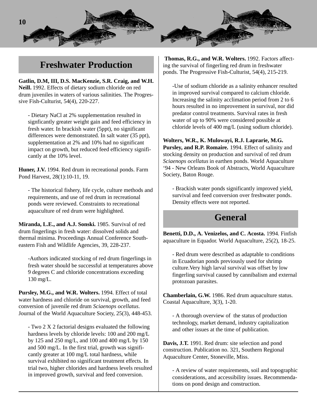

#### **Freshwater Production**

**Gatlin, D.M, III, D.S. MacKenzie, S.R. Craig, and W.H. Neill.** 1992. Effects of dietary sodium chloride on red drum juveniles in waters of various salinities. The Progressive Fish-Culturist, 54(4), 220-227.

- Dietary NaCl at 2% supplementation resulted in signficantly greater weight gain and feed efficiency in fresh water. In brackish water (5ppt), no significant differences were demonstrated. In salt water (35 ppt), supplementation at 2% and 10% had no significant impact on growth, but reduced feed efficiency significantly at the 10% level.

**Huner, J.V.** 1994. Red drum in recreational ponds. Farm Pond Harvest, 28(1):10-11, 19.

- The historical fishery, life cycle, culture methods and requirements, and use of red drum in recreational ponds were reviewed. Constraints to recreational aquaculture of red drum were highlighted.

**Miranda, L.E., and A.J. Sonski.** 1985. Survival of red drum fingerlings in fresh water: dissolved solids and thermal minima. Proceedings Annual Conference Southeastern Fish and Wildlife Agencies, 39, 228-237.

-Authors indicated stocking of red drum fingerlings in fresh water should be successful at temperatures above 9 degrees C and chloride concentrations exceeding 130 mg/L.

**Pursley, M.G., and W.R. Wolters.** 1994. Effect of total water hardness and chloride on survival, growth, and feed conversion of juvenile red drum *Sciaenops ocellatus*. Journal of the World Aquaculture Society, 25(3), 448-453.

- Two 2 X 2 factorial designs evaluated the following hardness levels by chloride levels: 100 and 200 mg/L by 125 and 250 mg/L, and 100 and 400 mg/L by 150 and 500 mg/L. In the first trial, growth was significantly greater at 100 mg/L total hardness, while survival exhibited no significant treatment effects. In trial two, higher chlorides and hardness levels resulted in improved growth, survival and feed conversion.

 **Thomas, R.G., and W.R. Wolters.** 1992. Factors affecting the survival of fingerling red drum in freshwater ponds. The Progressive Fish-Culturist, 54(4), 215-219.

-Use of sodium chloride as a salinity enhancer resulted in improved survival compared to calcium chloride. Increasing the salinity acclimation period from 2 to 6 hours resulted in no improvement in survival, nor did predator control treatments. Survival rates in fresh water of up to 90% were considered possible at chloride levels of 400 mg/L (using sodium chloride).

**Wolters, W.R., K. Mulowayi, R.J. Laprarie, M.G. Pursley, and R.P. Romaire.** 1994. Effect of salinity and stocking density on production and survival of red drum *Sciaenops ocellatus* in earthen ponds. World Aquaculture '94 - New Orleans Book of Abstracts, World Aquaculture Society, Baton Rouge.

- Brackish water ponds significantly improved yield, survival and feed conversion over freshwater ponds. Density effects were not reported.

#### **General**

**Benetti, D.D., A. Venizelos, and C. Acosta.** 1994. Finfish aquaculture in Equador. World Aquaculture, 25(2), 18-25.

- Red drum were described as adaptable to conditions in Ecuadorian ponds previously used for shrimp culture.Very high larval survival was offset by low fingerling survival caused by cannibalism and external protozoan parasites.

**Chamberlain, G.W.** 1986. Red drum aquaculture status. Coastal Aquaculture, 3(3), 1-20.

- A thorough overview of the status of production technology, market demand, industry capitalization and other issues at the time of publication.

**Davis, J.T.** 1991. Red drum: site selection and pond construction. Publication no. 321, Southern Regional Aquaculture Center, Stoneville, Miss.

- A review of water requirements, soil and topographic considerations, and accessibility issues. Recommendations on pond design and construction.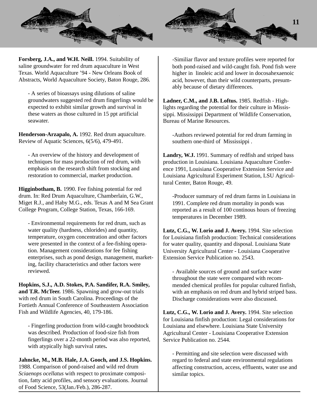

**Forsberg, J.A., and W.H. Neill.** 1994. Suitability of saline groundwater for red drum aquaculture in West Texas. World Aquaculture '94 - New Orleans Book of Abstracts, World Aquaculture Society, Baton Rouge, 286.

- A series of bioassays using dilutions of saline groundwaters suggested red drum fingerlings would be expected to exhibit similar growth and survival in these waters as those cultured in 15 ppt artificial seawater.

**Henderson-Arzapalo, A.** 1992. Red drum aquaculture. Review of Aquatic Sciences, 6(5/6), 479-491.

- An overview of the history and development of techniques for mass production of red drum, with emphasis on the research shift from stocking and restoration to commercial, market production.

**Higginbotham, B.** 1990. Fee fishing potential for red drum. In: Red Drum Aquaculture, Chamberlain, G.W., Miget R.J., and Haby M.G., eds. Texas A and M Sea Grant College Program, College Station, Texas, 166-169.

- Environmental requirements for red drum, such as water quality (hardness, chlorides) and quantity, temperature, oxygen concentration and other factors were presented in the context of a fee-fishing operation. Management considerations for fee fishing enterprises, such as pond design, management, marketing, facility characteristics and other factors were reviewed.

**Hopkins, S.J., A.D. Stokes, P.A. Sandifer, R.A. Smiley, and T.R. McTeer.** 1986. Spawning and grow-out trials with red drum in South Carolina. Proceedings of the Fortieth Annual Conference of Southeastern Association Fish and Wildlife Agencies, 40, 179-186.

- Fingerling production from wild-caught broodstock was described. Production of food-size fish from fingerlings over a 22-month period was also reported, with atypically high survival rates**.**

**Jahncke, M., M.B. Hale, J.A. Gooch, and J.S. Hopkins.** 1988. Comparison of pond-raised and wild red drum *Sciaenops ocellatus* with respect to proximate composition, fatty acid profiles, and sensory evaluations. Journal of Food Science, 53(Jan./Feb.), 286-287.

-Similiar flavor and texture profiles were reported for both pond-raised and wild-caught fish. Pond fish were higher in linoleic acid and lower in docosahexaenoic acid, however, than their wild counterparts, presumably because of dietary differences.

**Ladner, C.M., and J.B. Loftus.** 1985. Redfish - Highlights regarding the potential for their culture in Mississippi. Mississippi Department of Wildlife Conservation, Bureau of Marine Resources.

-Authors reviewed potential for red drum farming in southern one-third of Mississippi .

Landry, W.J. 1991. Summary of redfish and striped bass production in Louisiana. Louisiana Aquaculture Conference 1991, Louisiana Cooperative Extension Service and Louisiana Agricultural Experiment Station, LSU Agricultural Center, Baton Rouge, 49.

-Producer summary of red drum farms in Louisiana in 1991. Complete red drum mortality in ponds was reported as a result of 100 continous hours of freezing temperatures in December 1989.

**Lutz, C.G., W. Lorio and J. Avery.** 1994. Site selection for Louisiana finfish production: Technical considerations for water quality, quantity and disposal. Louisiana State University Agricultural Center - Louisiana Cooperative Extension Service Publication no. 2543.

- Available sources of ground and surface water throughout the state were compared with recommended chemical profiles for popular cultured finfish, with an emphasis on red drum and hybrid striped bass. Discharge considerations were also discussed.

**Lutz, C.G., W. Lorio and J. Avery.** 1994. Site selection for Louisiana finfish production: Legal considerations for Louisiana and elsewhere. Louisiana State University Agricultural Center - Louisiana Cooperative Extension Service Publication no. 2544.

- Permitting and site selection were discussed with regard to federal and state environmental regulations affecting construction, access, effluents, water use and similar topics.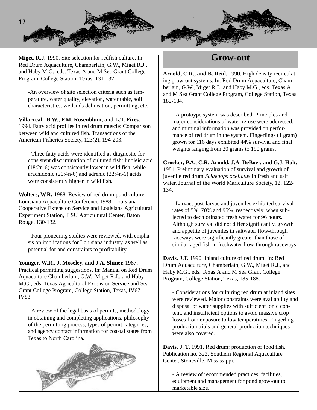

**Miget, R.J.** 1990. Site selection for redfish culture. In: Red Drum Aquaculture, Chamberlain, G.W., Miget R.J., and Haby M.G., eds. Texas A and M Sea Grant College Program, College Station, Texas, 131-137.

-An overview of site selection criteria such as temperature, water quality, elevation, water table, soil characteristics, wetlands delineation, permitting, etc.

**Villarreal, B.W., P.M. Rosenblum, and L.T. Fires.**

1994. Fatty acid profiles in red drum muscle: Comparison between wild and cultured fish. Transactions of the American Fisheries Society, 123(2), 194-203.

- Three fatty acids were identified as diagnostic for consistent discrimination of cultured fish: linoleic acid (18:2n-6) was consistently lower in wild fish, while arachidonic (20:4n-6) and adrenic (22:4n-6) acids were consistently higher in wild fish.

**Wolters, W.R.** 1988. Review of red drum pond culture. Louisiana Aquaculture Conference 1988, Louisiana Cooperative Extension Service and Louisiana Agricultural Experiment Station, LSU Agricultural Center, Baton Rouge, 130-132.

- Four pioneering studies were reviewed, with emphasis on implications for Louisiana industry, as well as potential for and constraints to profitability.

**Younger, W.R., J. Moseley, and J.A. Shiner.** 1987. Practical permitting suggestions. In: Manual on Red Drum Aquaculture Chamberlain, G.W., Miget R.J., and Haby M.G., eds. Texas Agricultural Extension Service and Sea Grant College Program, College Station, Texas, IV67- IV83.

- A review of the legal basis of permits, methodology in obtaining and completing applications, philosophy of the permitting process, types of permit categories, and agency contact information for coastal states from Texas to North Carolina.



#### **Grow-out**

**Arnold, C.R., and B. Reid.** 1990. High density recirculating grow-out systems. In: Red Drum Aquaculture, Chamberlain, G.W., Miget R.J., and Haby M.G., eds. Texas A and M Sea Grant College Program, College Station, Texas, 182-184.

- A protoype system was described. Principles and major considerations of water re-use were addressed, and miminal information was provided on performance of red drum in the system. Fingerlings (1 gram) grown for 116 days exhibited 44% survival and final weights ranging from 20 grams to 190 grams.

**Crocker, P.A., C.R. Arnold, J.A. DeBoer, and G.J. Holt.** 1981. Preliminary evaluation of survival and growth of juvenile red drum *Sciaenops ocellatus* in fresh and salt water. Journal of the World Mariculture Society, 12, 122- 134.

- Larvae, post-larvae and juveniles exhibited survival rates of 5%, 70% and 95%, respectively, when subjected to dechlorinated fresh water for 96 hours. Although survival did not differ significantly, growth and appetite of juveniles in saltwater flow-through raceways were significantly greater than those of similar-aged fish in freshwater flow-through raceways.

**Davis, J.T.** 1990. Inland culture of red drum. In: Red Drum Aquaculture, Chamberlain, G.W., Miget R.J., and Haby M.G., eds. Texas A and M Sea Grant College Program, College Station, Texas, 185-188.

- Considerations for culturing red drum at inland sites were reviewed. Major constraints were availability and disposal of water supplies with sufficient ionic content, and insufficient options to avoid massive crop losses from exposure to low temperatures. Fingerling production trials and general production techniques were also covered.

**Davis, J. T.** 1991. Red drum: production of food fish. Publication no. 322, Southern Regional Aquaculture Center, Stoneville, Mississippi.

- A review of recommended practices, facilities, equipment and management for pond grow-out to marketable size.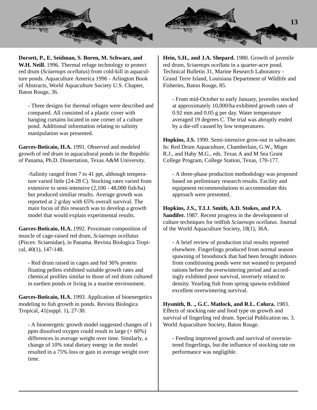

**Dorsett, P., E. Seidman, S. Boren, M. Schwarz, and W.H. Neill.** 1996. Thermal refuge technology to protect red drum (*Sciaenops ocellatus*) from cold-kill in aquaculture ponds. Aquaculture America 1996 - Arlington Book of Abstracts, World Aquaculture Society U.S. Chapter, Baton Rouge, 36.

- Three designs for thermal refuges were described and compared. All consisted of a plastic cover with hanging curtains located in one corner of a culture pond. Additional information relating to salinity manipulation was presented.

**Garces-Boticaio, H.A.** 1991. Observed and modeled growth of red drum in aquacultural ponds in the Republic of Panama, Ph.D. Dissertation, Texas A&M University.

-Salinity ranged from 7 to 41 ppt, although temperature varied little (24-28 C). Stocking rates varied from extensive to semi-intensive (2,100 - 48,000 fish/ha) but produced similiar results. Average growth was reported at 2 g/day with 65% overall survival. The main focus of this research was to develop a growth model that would explain experimental results.

**Garces-Boticaio, H.A.** 1992. Proximate composition of muscle of cage-raised red drum, *Sciaenops ocellatus* (Pisces: Sciaenidae), in Panama. Revista Biologica Tropical, 40(1), 147-148.

- Red drum raised in cages and fed 36% protein floating pellets exhibited suitable growth rates and chemical profiles similar to those of red drum cultured in earthen ponds or living in a marine environment.

**Garces-Boticaio, H.A.** 1993. Application of bioenergetics modeling to fish growth in ponds. Revista Biologica Tropical, 41(suppl. 1), 27-30.

- A bioenergetic growth model suggested changes of 1 ppm dissolved oxygen could result in large (+ 60%) differences in average weight over time. Similarly, a change of 10% total dietary energy in the model resulted in a 75% loss or gain in average weight over time.



**Hein, S.H., and J.A. Shepard.** 1980. Growth of juvenile red drum, *Sciaenops ocellata* in a quarter-acre pond. Technical Bulletin 31, Marine Research Laboratory - Grand Terre Island, Louisiana Department of Wildlife and Fisheries, Baton Rouge, 85.

- From mid-October to early January, juveniles stocked at approximately 10,000/ha exhibited growth rates of 0.92 mm and 0.05 g per day. Water temperature averaged 19 degrees C. The trial was abruptly ended by a die-off caused by low temperatures.

**Hopkins, J.S.** 1990. Semi-intensive grow-out in saltwater. In: Red Drum Aquaculture, Chamberlain, G.W., Miget R.J., and Haby M.G., eds. Texas A and M Sea Grant College Program, College Station, Texas, 170-177.

- A three-phase production methodology was proposed based on preliminary research results. Facility and equipment recommendations to accommodate this approach were presented.

**Hopkins, J.S., T.I.J. Smith, A.D. Stokes, and P.A. Sandifer.** 1987. Recent progress in the development of culture techniques for redfish *Sciaenops ocellatus*. Journal of the World Aquaculture Society, 18(1), 36A.

- A brief review of production trial results reported elsewhere. Fingerlings produced from normal season spawning of broodstock that had been brought indoors from conditioning ponds were not weaned to prepared rations before the overwintering period and accordingly exhibited poor survival, inversely related to density. Yearling fish from spring spawns exhibited excellent overwintering survival.

**Hysmith, B. ., G.C. Matlock, and R.L. Colura.** 1983. Effects of stocking rate and food type on growth and survival of fingerling red drum. Special Publication no. 3. World Aquaculture Society, Baton Rouge.

- Feeding improved growth and survival of overwintered fingerlings, but the influence of stocking rate on performance was negligible.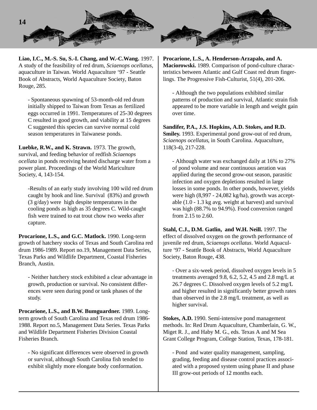

**Liao, I.C., M.-S. Su, S.-I. Chang, and W.-C.Wang.** 1997. A study of the feasibility of red drum, *Sciaenops ocellatus,* aquaculture in Taiwan. World Aquaculture '97 - Seattle Book of Abstracts, World Aquaculture Society, Baton Rouge, 285.

- Spontaneous spawning of 53-month-old red drum initially shipped to Taiwan from Texas as fertilized eggs occurred in 1991. Temperatures of 25-30 degrees C resulted in good growth, and viability at 15 degrees C suggested this species can survive normal cold season temperatures in Taiwanese ponds.

**Luebke, R.W., and K. Strawn.** 1973. The growth, survival, and feeding behavior of redfish *Sciaenops ocellata* in ponds receiving heated discharge water from a power plant. Proceedings of the World Mariculture Society, 4, 143-154.

-Results of an early study involving 100 wild red drum caught by hook and line. Survival (83%) and growth (3 g/day) were high despite temperatures in the cooling ponds as high as 35 degrees C. Wild-caught fish were trained to eat trout chow two weeks after capture.

**Procarione, L.S., and G.C. Matlock.** 1990. Long-term growth of hatchery stocks of Texas and South Carolina red drum 1986-1989. Report no.19, Management Data Series, Texas Parks and Wildlife Department, Coastal Fisheries Branch, Austin.

- Neither hatchery stock exhibited a clear advantage in growth, production or survival. No consistent differences were seen during pond or tank phases of the study.

**Procarione, L.S., and B.W. Bumguardner.** 1989. Longterm growth of South Carolina and Texas red drum 1986- 1988. Report no.5, Management Data Series. Texas Parks and Wildlife Department Fisheries Division Coastal Fisheries Branch.

- No significant differences were observed in growth or survival, although South Carolina fish tended to exhibit slightly more elongate body conformation.

**Procarione, L.S., A. Henderson-Arzapalo, and A. Maciorowski.** 1989. Comparison of pond-culture characteristics between Atlantic and Gulf Coast red drum fingerlings. The Progressive Fish-Culturist, 51(4), 201-206.

- Although the two populations exhibited similar patterns of production and survival, Atlantic strain fish appeared to be more variable in length and weight gain over time.

**Sandifer, P.A., J.S. Hopkins, A.D. Stokes, and R.D. Smiley.** 1993. Experimental pond grow-out of red drum, *Sciaenops ocellatus*, in South Carolina. Aquaculture, 118(3-4), 217-228.

- Although water was exchanged daily at 16% to 27% of pond volume and near continuous aeration was applied during the second grow-out season, parasitic infection and oxygen depletions resulted in large losses in some ponds. In other ponds, however, yields were high (8,997 - 24,082 kg/ha), growth was acceptable (1.0 - 1.3 kg avg. weight at harvest) and survival was high (88.7% to 94.9%). Food conversion ranged from 2.15 to 2.60.

**Stahl, C.J., D.M. Gatlin, and W.H. Neill.** 1997. The effect of dissolved oxygen on the growth performance of juvenile red drum, *Sciaenops ocellatus*. World Aquaculture '97 - Seattle Book of Abstracts, World Aquaculture Society, Baton Rouge, 438.

- Over a six-week period, dissolved oxygen levels in 5 treatments averaged 9.8, 6.2, 5.2, 4.5 and 2.8 mg/L at 26.7 degrees C. Dissolved oxygen levels of 5.2 mg/L and higher resulted in significantly better growth rates than observed in the 2.8 mg/L treatment, as well as higher survival.

**Stokes, A.D.** 1990. Semi-intensive pond management methods. In: Red Drum Aquaculture, Chamberlain, G. W., Miget R. J., and Haby M. G., eds. Texas A and M Sea Grant College Program, College Station, Texas, 178-181.

- Pond and water quality management, sampling, grading, feeding and disease control practices associated with a proposed system using phase II and phase III grow-out periods of 12 months each.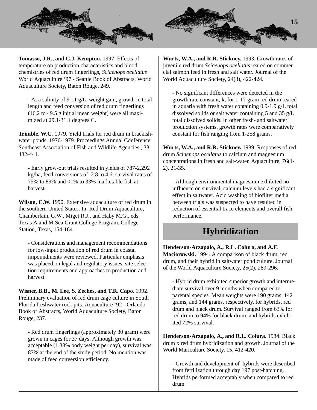

**Tomasso, J.R., and C.J. Kempton.** 1997. Effects of temperature on production characteristics and blood chemistries of red drum fingerlings, *Sciaenops ocellatus* World Aquaculture '97 - Seattle Book of Abstracts, World Aquaculture Society, Baton Rouge, 249.

- At a salinity of 9-11 g/L, weight gain, growth in total length and feed conversion of red drum fingerlings (16.2 to 49.5 g initial mean weight) were all maximized at 29.1-31.1 degrees C.

**Trimble, W.C.** 1979. Yield trials for red drum in brackishwater ponds, 1976-1979. Proceedings Annual Conference Southeast Association of Fish and Wildlife Agencies., 33, 432-441.

- Early grow-out trials resulted in yields of 787-2,292 kg/ha, feed conversions of 2.8 to 4.6, survival rates of 75% to 89% and <1% to 33% marketable fish at harvest.

**Wilson, C.W.** 1990. Extensive aquaculture of red drum in the southern United States. In: Red Drum Aquaculture, Chamberlain, G.W., Miget R.J., and Haby M.G., eds. Texas A and M Sea Grant College Program, College Station, Texas, 154-164.

- Considerations and management recommendations for low-input production of red drum in coastal impoundments were reviewed. Particular emphasis was placed on legal and regulatory issues, site selection requirements and approaches to production and harvest.

**Wisner, B.B., M. Lee, S. Zeches, and T.R. Capo.** 1992. Preliminary evaluation of red drum cage culture in South Florida freshwater rock pits. Aquaculture '92 - Orlando Book of Abstracts, World Aquaculture Society, Baton Rouge, 237.

- Red drum fingerlings (approximately 30 gram) were grown in cages for 37 days. Although growth was acceptable (1.38% body weight per day), survival was 87% at the end of the study period. No mention was made of feed conversion efficiency.

**Wurts, W.A., and R.R. Stickney.** 1993. Growth rates of juvenile red drum *Sciaenops ocellatus* reared on commercial salmon feed in fresh and salt water. Journal of the World Aquaculture Society, 24(3), 422-424.

**15**

- No significant differences were detected in the growth rate constant, k, for 1-17 gram red drum reared in aquaria with fresh water containing 0.9-1.9 g/L total dissolved solids or salt water containing 5 and 35 g/L total dissolved solids. In other fresh- and saltwater production systems, growth rates were comparatively constant for fish ranging from 1-258 grams.

**Wurts, W.A., and R.R. Stickney.** 1989. Responses of red drum *Sciaenops ocellatus* to calcium and magnesium concentrations in fresh and salt-water. Aquaculture, 76(1- 2), 21-35.

- Although environmental magnesium exhibited no influence on survival, calcium levels had a significant effect in saltwater. Acid washing of biofilter media between trials was suspected to have resulted in reduction of essential trace elements and overall fish performance.

#### **Hybridization**

**Henderson-Arzapalo, A., R.L. Colura, and A.F. Maciorowski.** 1994. A comparison of black drum, red drum, and their hybrid in saltwater pond culture. Journal of the World Aquaculture Society, 25(2), 289-296.

- Hybrid drum exhibited superior growth and intermediate survival over 9 months when compared to parental species. Mean weights were 190 grams, 142 grams, and 144 grams, respectively, for hybrids, red drum and black drum. Survival ranged from 63% for red drum to 94% for black drum, and hybrids exhibited 72% survival.

**Henderson-Arzapalo, A., and R.L. Colura.** 1984. Black drum x red drum hybridization and growth. Journal of the World Mariculture Society, 15, 412-420.

- Growth and development of hybrids were described from fertilization through day 197 post-hatching. Hybrids performed acceptably when compared to red drum.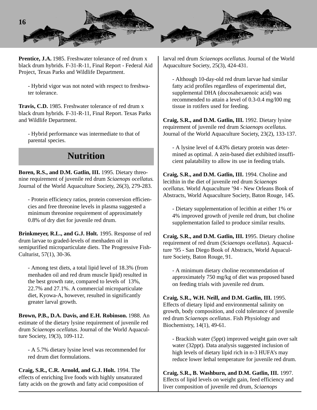

**Prentice, J.A.** 1985. Freshwater tolerance of red drum x black drum hybrids. F-31-R-11, Final Report - Federal Aid Project, Texas Parks and Wildlife Department.

- Hybrid vigor was not noted with respect to freshwater tolerance.

**Travis, C.D.** 1985. Freshwater tolerance of red drum x black drum hybrids. F-31-R-11, Final Report. Texas Parks and Wildlife Department.

- Hybrid performance was intermediate to that of parental species.

#### **Nutrition**

**Boren, R.S., and D.M. Gatlin, III.** 1995. Dietary threonine requirement of juvenile red drum *Sciaenops ocellatus*. Journal of the World Aquaculture Society, 26(3), 279-283.

- Protein efficiency ratios, protein conversion efficiencies and free threonine levels in plasma suggested a minimum threonine requirement of approximately 0.8% of dry diet for juvenile red drum.

**Brinkmeyer, R.L., and G.J. Holt.** 1995. Response of red drum larvae to graded-levels of menhaden oil in semipurified microparticulate diets. The Progressive Fish-Culturist, 57(1), 30-36.

- Among test diets, a total lipid level of 18.3% (from menhaden oil and red drum muscle lipid) resulted in the best growth rate, compared to levels of 13%, 22.7% and 27.1%. A commercial microparticulate diet, Kyowa-A, however, resulted in significantly greater larval growth.

**Brown, P.B., D.A. Davis, and E.H. Robinson.** 1988. An estimate of the dietary lysine requirement of juvenile red drum *Sciaenops ocellatus*. Journal of the World Aquaculture Society, 19(3), 109-112.

- A 5.7% dietary lysine level was recommended for red drum diet formulations.

**Craig, S.R., C.R. Arnold, and G.J. Holt.** 1994. The effects of enriching live foods with highly unsaturated fatty acids on the growth and fatty acid composition of larval red drum *Sciaenops ocellatus*. Journal of the World Aquaculture Society, 25(3), 424-431.

- Although 10-day-old red drum larvae had similar fatty acid profiles regardless of experimental diet, supplemental DHA (docosahexaenoic acid) was recommended to attain a level of 0.3-0.4 mg/l00 mg tissue in rotifers used for feeding.

**Craig, S.R., and D.M. Gatlin, III.** 1992. Dietary lysine requirement of juvenile red drum *Sciaenops ocellatus.* Journal of the World Aquaculture Society, 23(2), 133-137.

- A lysine level of 4.43% dietary protein was determined as optimal. A zein-based diet exhibited insufficient palatability to allow its use in feeding trials.

**Craig, S.R., and D.M. Gatlin, III.** 1994. Choline and lecithin in the diet of juvenile red drum *Sciaenops ocellatus*. World Aquaculture '94 - New Orleans Book of Abstracts, World Aquaculture Society, Baton Rouge, 145.

- Dietary supplementation of lecithin at either 1% or 4% improved growth of jvenile red drum, but choline supplementation failed to produce similar results.

**Craig, S.R., and D.M. Gatlin, III. 1**995. Dietary choline requirement of red drum (*Sciaenops ocellatus*). Aquaculture '95 - San Diego Book of Abstracts, World Aquaculture Society, Baton Rouge, 91.

- A minimum dietary choline recommendation of approximately 750 mg/kg of diet was proposed based on feeding trials with juvenile red drum.

**Craig, S.R., W.H. Neill, and D.M. Gatlin, III.** 1995. Effects of dietary lipid and environmental salinity on growth, body composition, and cold tolerance of juvenile red drum *Sciaenops ocellatus*. Fish Physiology and Biochemistry, 14(1), 49-61.

- Brackish water (5ppt) improved weight gain over salt water (32ppt). Data analysis suggested inclusion of high levels of dietary lipid rich in n-3 HUFA's may reduce lower lethal temperature for juvenile red drum.

**Craig, S.R., B. Washburn, and D.M. Gatlin, III.** 1997. Effects of lipid levels on weight gain, feed efficiency and liver composition of juvenile red drum, *Sciaenops*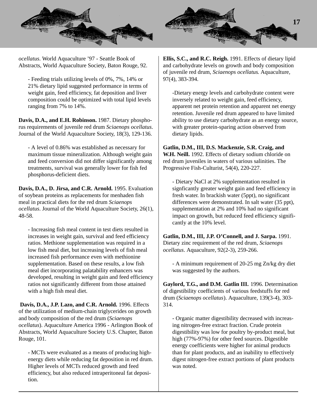

*ocellatus*. World Aquaculture '97 - Seattle Book of Abstracts, World Aquaculture Society, Baton Rouge, 92.

- Feeding trials utilizing levels of 0%, 7%, 14% or 21% dietary lipid suggested performance in terms of weight gain, feed efficiency, fat deposition and liver composition could be optimized with total lipid levels ranging from 7% to 14%.

**Davis, D.A., and E.H. Robinson.** 1987. Dietary phosphorus requirements of juvenile red drum *Sciaenops ocellatus*. Journal of the World Aquaculture Society, 18(3), 129-136.

- A level of 0.86% was established as necessary for maximum tissue mineralization. Although weight gain and feed conversion did not differ significantly among treatments, survival was generally lower for fish fed phosphorus-deficient diets.

**Davis, D.A., D. Jirsa, and C.R. Arnold.** 1995. Evaluation of soybean proteins as replacements for menhaden fish meal in practical diets for the red drum *Sciaenops ocellatus*. Journal of the World Aquaculture Society, 26(1), 48-58.

- Increasing fish meal content in test diets resulted in increases in weight gain, survival and feed efficiency ratios. Methione supplementation was required in a low fish meal diet, but increasing levels of fish meal increased fish performance even with methionine supplementation. Based on these results, a low fish meal diet incorporating palatability enhancers was developed, resulting in weight gain and feed efficiency ratios not significantly different from those attained with a high fish meal diet.

 **Davis, D.A., J.P. Lazo, and C.R. Arnold.** 1996. Effects of the utilization of medium-chain triglycerides on growth and body composition of the red drum (*Sciaenops ocellatus*). Aquaculture America 1996 - Arlington Book of Abstracts, World Aquaculture Society U.S. Chapter, Baton Rouge, 101.

- MCTs were evaluated as a means of producing highenergy diets while reducing fat deposition in red drum. Higher levels of MCTs reduced growth and feed efficiency, but also reduced intraperitoneal fat deposition.

**Ellis, S.C., and R.C. Reigh.** 1991. Effects of dietary lipid and carbohydrate levels on growth and body composition of juvenile red drum, *Sciaenops ocellatus*. Aquaculture, 97(4), 383-394.

-Dietary energy levels and carbohydrate content were inversely related to weight gain, feed efficiency, apparent net protein retention and apparent net energy retention. Juvenile red drum appeared to have limited ability to use dietary carbohydrate as an energy source, with greater protein-sparing action observed from dietary lipids.

**Gatlin, D.M., III, D.S. Mackenzie, S.R. Craig, and W.H. Neill.** 1992. Effects of dietary sodium chloride on red drum juveniles in waters of various salinities. The Progressive Fish-Culturist, 54(4), 220-227.

- Dietary NaCl at 2% supplementation resulted in signficantly greater weight gain and feed efficiency in fresh water. In brackish water (5ppt), no significant differences were demonstrated. In salt water (35 ppt), supplementation at 2% and 10% had no significant impact on growth, but reduced feed efficiency significantly at the 10% level.

**Gatlin, D.M., III, J.P. O'Connell, and J. Sarpa.** 1991. Dietary zinc requirement of the red drum, *Sciaenops ocellatus*. Aquaculture, 92(2-3), 259-266.

- A minimum requirement of 20-25 mg Zn/kg dry diet was suggested by the authors.

**Gaylord, T.G., and D.M. Gatlin III.** 1996. Determination of digestibility coefficients of various feedstuffs for red drum (*Sciaenops ocellatus*). Aquaculture, 139(3-4), 303- 314.

- Organic matter digestibility decreased with increasing nitrogen-free extract fraction. Crude protein digestibility was low for poultry by-product meal, but high (77%-97%) for other feed sources. Digestible energy coefficients were higher for animal products than for plant products, and an inability to effectively digest nitrogen-free extract portions of plant products was noted.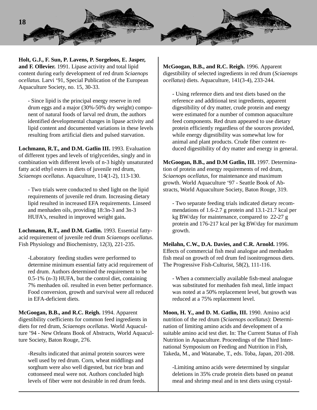

**Holt, G.J., F. Sun, P. Lavens, P. Sorgeloos, E. Jasper, and F. Ollevier.** 1991. Lipase activity and total lipid content during early development of red drum *Sciaenops ocellatus*. Larvi '91, Special Publication of the European Aquaculture Society, no. 15, 30-33.

- Since lipid is the principal energy reserve in red drum eggs and a major (30%-50% dry weight) component of natural foods of larval red drum, the authors identified developmental changes in lipase activity and lipid content and documented variations in these levels resulting from artificial diets and pulsed starvation.

**Lochmann, R.T., and D.M. Gatlin III.** 1993. Evaluation of different types and levels of triglycerides, singly and in combination with different levels of n-3 highly unsaturated fatty acid ethyl esters in diets of juvenile red drum, *Sciaenops ocellatus*. Aquaculture, 114(1-2), 113-130.

- Two trials were conducted to shed light on the lipid requirements of juvenile red drum. Increasing dietary lipid resulted in increased EFA requirements. Linseed and menhaden oils, providing 18:3n-3 and 3n-3 HUFA's, resulted in improved weight gain**.**

**Lochmann, R.T., and D.M. Gatlin.** 1993. Essential fattyacid requirement of juvenile red drum *Sciaenops ocellatus*. Fish Physiology and Biochemistry, 12(3), 221-235.

-Laboratory feeding studies were performed to determine minimum essential fatty acid requirement of red drum. Authors determined the requirement to be 0.5-1% (n-3) HUFA, but the control diet, containing 7% menhaden oil. resulted in even better performance. Food conversion, growth and survival were all reduced in EFA-deficient diets.

**McGoogan, B.B., and R.C. Reigh.** 1994. Apparent digestibility coefficients for common feed ingredients in diets for red drum, *Sciaenops ocellatus*. World Aquaculture '94 - New Orleans Book of Abstracts, World Aquaculture Society, Baton Rouge, 276.

-Results indicated that animal protein sources were well used by red drum. Corn, wheat middlings and sorghum were also well digested, but rice bran and cottonseed meal were not. Authors concluded high levels of fiber were not desirable in red drum feeds. **McGoogan, B.B., and R.C. Reigh.** 1996. Apparent digestibility of selected ingredients in red drum (*Sciaenops ocellatus*) diets. Aquaculture, 141(3-4), 233-244.

- Using reference diets and test diets based on the reference and additional test ingredients, apparent digestibility of dry matter, crude protein and energy were estimated for a number of common aquaculture feed components. Red drum appeared to use dietary protein efficiently regardless of the sources provided, while energy digestibility was somewhat low for animal and plant products. Crude fiber content reduced digestibility of dry matter and energy in general.

**McGoogan, B.B., and D.M Gatlin, III.** 1997. Determination of protein and energy requirements of red drum, *Sciaenops ocellatus*, for maintenance and maximum growth. World Aquaculture '97 - Seattle Book of Abstracts, World Aquaculture Society, Baton Rouge, 319.

- Two separate feeding trials indicated dietary recommendations of 1.6-2.7 g protein and 13.1-21.7 kcal per kg BW/day for maintenance, compared to 22-27 g protein and 176-217 kcal per kg BW/day for maximum growth.

**Meilahn, C.W., D.A. Davies, and C.R. Arnold.** 1996. Effects of commercial fish meal analogue and menhaden fish meal on growth of red drum fed isonitrogenous diets. The Progressive Fish-Culturist, 58(2), 111-116.

- When a commercially available fish-meal analogue was substituted for menhaden fish meal, little impact was noted at a 50% replacement level, but growth was reduced at a 75% replacement level.

**Moon, H. Y., and D. M. Gatlin, III.** 1990. Amino acid nutrition of the red drum (*Sciaenops ocellatus*): Determination of limiting amino acids and development of a suitable amino acid test diet. In: The Current Status of Fish Nutrition in Aquaculture. Proceedings of the Third International Symposium on Feeding and Nutrition in Fish, Takeda, M., and Watanabe, T., eds. Toba, Japan, 201-208.

-Limiting amino acids were determined by singular deletions in 35% crude protein diets based on peanut meal and shrimp meal and in test diets using crystal-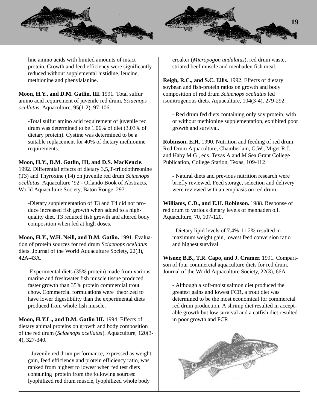

line amino acids with limited amounts of intact protein. Growth and feed efficiency were significantly reduced without supplemental histidine, leucine, methionine and phenylalanine.

**Moon, H.Y., and D.M. Gatlin, III.** 1991. Total sulfur amino acid requirement of juvenile red drum, *Sciaenops ocellatus*. Aquaculture, 95(1-2), 97-106.

-Total sulfur amino acid requirement of juvenile red drum was determined to be 1.06% of diet (3.03% of dietary protein). Cystine was determined to be a suitable replacement for 40% of dietary methionine requirements.

#### **Moon, H.Y., D.M. Gatlin, III, and D.S. MacKenzie.**

1992. Differential effects of dietary 3,5,3'-triiodothreonine (T3) and Thyroxine (T4) on juvenile red drum *Sciaenops ocellatus*. Aquaculture '92 - Orlando Book of Abstracts, World Aquaculture Society, Baton Rouge, 297.

-Dietary supplementation of T3 and T4 did not produce increased fish growth when added to a highquality diet. T3 reduced fish growth and altered body composition when fed at high doses.

**Moon, H.Y., W.H. Neill, and D.M. Gatlin.** 1991. Evaluation of protein sources for red drum *Sciaenops ocellatus* diets. Journal of the World Aquaculture Society, 22(3), 42A-43A.

-Experimental diets (35% protein) made from various marine and freshwater fish muscle tissue produced faster growth than 35% protein commercial trout chow. Commercial formulations were theorized to have lower digestibility than the experimental diets produced from whole fish muscle.

**Moon, H.Y.L., and D.M. Gatlin III.** 1994. Effects of dietary animal proteins on growth and body composition of the red drum (*Sciaenops ocellatus*). Aquaculture, 120(3- 4), 327-340.

- Juvenile red drum performance, expressed as weight gain, feed efficiency and protein efficiency ratio, was ranked from highest to lowest when fed test diets containing protein from the following sources: lyophilized red drum muscle, lyophilized whole body

croaker (*Micropogon undulatus*), red drum waste, striated beef muscle and menhaden fish meal.

**Reigh, R.C., and S.C. Ellis.** 1992. Effects of dietary soybean and fish-protein ratios on growth and body composition of red drum *Sciaenops ocellatus* fed isonitrogenous diets. Aquaculture, 104(3-4), 279-292.

- Red drum fed diets containing only soy protein, with or without methionine supplementation, exhibited poor growth and survival.

**Robinson, E.H.** 1990. Nutrition and feeding of red drum. Red Drum Aquaculture, Chamberlain, G.W., Miget R.J., and Haby M.G., eds. Texas A and M Sea Grant College Publication, College Station, Texas, 109-112.

- Natural diets and previous nutrition research were briefly reviewed. Feed storage, selection and delivery were reviewed with an emphasis on red drum.

**Williams, C.D., and E.H. Robinson.** 1988. Response of red drum to various dietary levels of menhaden oil. Aquaculture, 70, 107-120.

- Dietary lipid levels of 7.4%-11.2% resulted in maximum weight gain, lowest feed conversion ratio and highest survival.

**Wisner, B.B., T.R. Capo, and J. Cramer.** 1991. Comparison of four commercial aquaculture diets for red drum. Journal of the World Aquaculture Society, 22(3), 66A.

- Although a soft-moist salmon diet produced the greatest gains and lowest FCR, a trout diet was determined to be the most economical for commercial red drum production. A shrimp diet resulted in acceptable growth but low survival and a catfish diet resulted in poor growth and FCR.

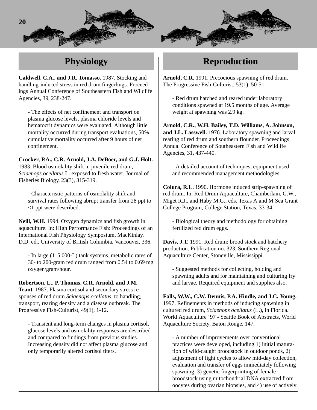

## **Physiology**

**Caldwell, C.A., and J.R. Tomasso.** 1987. Stocking and handling-induced stress in red drum fingerlings. Proceedings Annual Conference of Southeastern Fish and Wildlife Agencies, 39, 238-247.

- The effects of net confinement and transport on plasma glucose levels, plasma chloride levels and hematocrit dynamics were evaluated. Although little mortality occurred during transport evaluations, 50% cumulative mortality occurred after 9 hours of net confinement.

**Crocker, P.A., C.R. Arnold, J.A. DeBoer, and G.J. Holt.** 1983. Blood osmolality shift in juvenile red drum, *Sciaenops ocellatus* L. exposed to fresh water. Journal of Fisheries Biology, 23(3), 315-319.

- Characteristic patterns of osmolality shift and survival rates following abrupt transfer from 28 ppt to <1 ppt were described.

**Neill, W.H.** 1994. Oxygen dynamics and fish growth in aquaculture. In: High Performance Fish: Proceedings of an International Fish Physiology Symposium, MacKinlay, D.D. ed., University of British Columbia, Vancouver, 336.

- In large (115,000-L) tank systems, metabolic rates of 30- to 200-gram red drum ranged from 0.54 to 0.69 mg oxygen/gram/hour.

#### **Robertson, L., P. Thomas, C.R. Arnold, and J.M.**

**Trant.** 1987. Plasma cortisol and secondary stress responses of red drum *Sciaenops ocellatus* to handling, transport, rearing density and a disease outbreak. The Progressive Fish-Culturist, 49(1), 1-12.

- Transient and long-term changes in plasma cortisol, glucose levels and osmolality responses are described and compared to findings from previous studies. Increasing density did not affect plasma glucose and only temporarily altered cortisol titers.

#### **Reproduction**

**Arnold, C.R.** 1991. Precocious spawning of red drum. The Progressive Fish-Culturist, 53(1), 50-51.

- Red drum hatched and reared under laboratory conditions spawned at 19.5 months of age. Average weight at spawning was 2.9 kg.

**Arnold, C.R., W.H. Bailey, T.D. Williams, A. Johnson, and J.L. Lasswell.** 1976. Laboratory spawning and larval rearing of red drum and southern flounder. Proceedings Annual Conference of Southeastern Fish and Wildlife Agencies, 31, 437-440.

- A detailed account of techniques, equipment used and recommended management methodologies.

**Colura, R.L.** 1990. Hormone induced strip-spawning of red drum. In: Red Drum Aquaculture, Chamberlain, G.W., Miget R.J., and Haby M.G., eds. Texas A and M Sea Grant College Program, College Station, Texas, 33-34.

- Biological theory and methodology for obtaining fertilized red drum eggs.

**Davis, J.T.** 1991. Red drum: brood stock and hatchery production. Publication no. 323, Southern Regional Aquaculture Center, Stoneville, Mississippi.

- Suggested methods for collecting, holding and spawning adults and for maintaining and culturing fry and larvae. Required equipment and supplies also.

**Falls, W.W., C.W. Dennis, P.A. Hindle, and J.C. Young.** 1997. Refinements in methods of inducing spawning in cultured red drum, *Sciaenops ocellatus* (L.), in Florida. World Aquaculture '97 - Seattle Book of Abstracts, World Aquaculture Society, Baton Rouge, 147.

- A number of improvements over conventional practices were developed, including 1) initial maturation of wild-caught broodstock in outdoor ponds, 2) adjustment of light cycles to allow mid-day collection, evaluation and transfer of eggs immediately following spawning, 3) genetic fingerprinting of female broodstock using mitochondrial DNA extracted from oocytes during ovarian biopsies, and 4) use of actively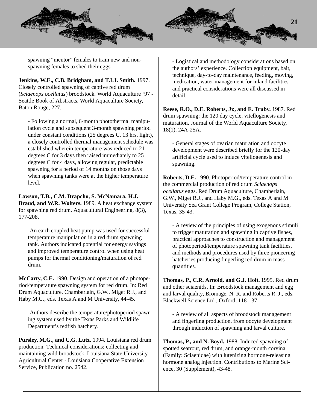

spawning "mentor" females to train new and nonspawning females to shed their eggs.

#### **Jenkins, W.E., C.B. Bridgham, and T.I.J. Smith.** 1997. Closely controlled spawning of captive red drum (*Sciaenops ocellatus*) broodstock. World Aquaculture '97 - Seattle Book of Abstracts, World Aquaculture Society, Baton Rouge, 227.

- Following a normal, 6-month photothermal manipulation cycle and subsequent 3-month spawning period under constant conditions (25 degrees C, 13 hrs. light), a closely controlled thermal management schedule was established wherein temperature was reduced to 21 degrees C for 3 days then raised immediately to 25 degrees C for 4 days, allowing regular, predictable spawning for a period of 14 months on those days when spawning tanks were at the higher temperature level.

#### **Lawson, T.B., C.M. Drapcho, S. McNamara, H.J.**

**Braud, and W.R. Wolters.** 1989. A heat exchange system for spawning red drum. Aquacultural Engineering, 8(3), 177-208.

-An earth coupled heat pump was used for successful temperature manipulation in a red drum spawning tank. Authors indicated potential for energy savings and improved temperature control when using heat pumps for thermal conditioning/maturation of red drum.

**McCarty, C.E.** 1990. Design and operation of a photoperiod/temperature spawning system for red drum. In: Red Drum Aquaculture, Chamberlain, G.W., Miget R.J., and Haby M.G., eds. Texas A and M University, 44-45.

-Authors describe the temperature/photoperiod spawning system used by the Texas Parks and Wildlife Department's redfish hatchery.

**Pursley, M.G., and C.G. Lutz.** 1994. Louisiana red drum production. Technical considerations: collecting and maintaining wild broodstock. Louisiana State University Agricultural Center - Louisiana Cooperative Extension Service, Publication no. 2542.

- Logistical and methodology considerations based on the authors' experience. Collection equipment, bait, technique, day-to-day maintenance, feeding, moving, medication, water management for inland facilities and practical considerations were all discussed in detail.

**Reese, R.O., D.E. Roberts, Jr., and E. Truby.** 1987. Red drum spawning: the 120 day cycle, vitellogenesis and maturation. Journal of the World Aquaculture Society, 18(1), 24A-25A.

- General stages of ovarian maturation and oocyte development were described briefly for the 120-day artificial cycle used to induce vitellogenesis and spawning.

**Roberts, D.E.** 1990. Photoperiod/temperature control in the commercial production of red drum *Sciaenops ocellatus* eggs. Red Drum Aquaculture, Chamberlain, G.W., Miget R.J., and Haby M.G., eds. Texas A and M University Sea Grant College Program, College Station, Texas, 35-43.

- A review of the principles of using exogenous stimuli to trigger maturation and spawning in captive fishes, practical approaches to construction and management of photoperiod/temperature spawning tank facilities, and methods and procedures used by three pioneering hatcheries producing fingerling red drum in mass quantities.

**Thomas, P., C.R. Arnold, and G.J. Holt.** 1995. Red drum and other sciaenids. In: Broodstock management and egg and larval quality, Bromage, N. R. and Roberts R. J., eds. Blackwell Science Ltd., Oxford, 118-137.

- A review of all aspects of broodstock management and fingerling production, from oocyte development through induction of spawning and larval culture.

**Thomas, P., and N. Boyd.** 1988. Induced spawning of spotted seatrout, red drum, and orange-mouth corvina (Family: Sciaenidae) with lutenizing hormone-releasing hormone analog injection. Contributions to Marine Science, 30 (Supplement), 43-48.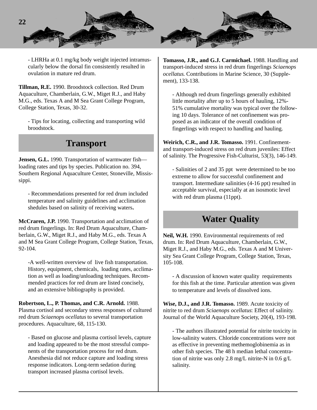

- LHRHa at 0.1 mg/kg body weight injected intramuscularly below the dorsal fin consistently resulted in ovulation in mature red drum.

**Tillman, R.E.** 1990. Broodstock collection. Red Drum Aquaculture, Chamberlain, G.W., Miget R.J., and Haby M.G., eds. Texas A and M Sea Grant College Program, College Station, Texas, 30-32.

- Tips for locating, collecting and transporting wild broodstock.

#### **Transport**

**Jensen, G.L.** 1990. Transportation of warmwater fish loading rates and tips by species. Publication no. 394, Southern Regional Aquaculture Center, Stoneville, Mississippi.

- Recommendations presented for red drum included temperature and salinity guidelines and acclimation shedules based on salinity of receiving waters**.**

**McCraren, J.P.** 1990. Transportation and acclimation of red drum fingerlings. In: Red Drum Aquaculture, Chamberlain, G.W., Miget R.J., and Haby M.G., eds. Texas A and M Sea Grant College Program, College Station, Texas, 92-104.

-A well-written overview of live fish transportation. History, equipment, chemicals, loading rates, acclimation as well as loading/unloading techniques. Recommended practices for red drum are listed concisely, and an extensive bibliography is provided.

**Robertson, L., P. Thomas, and C.R. Arnold.** 1988. Plasma cortisol and secondary stress responses of cultured red drum *Sciaenops ocellatus* to several transportation procedures. Aquaculture, 68, 115-130.

- Based on glucose and plasma cortisol levels, capture and loading appeared to be the most stressful components of the transportation process for red drum. Anesthesia did not reduce capture and loading stress response indicators. Long-term sedation during transport increased plasma cortisol levels.

**Tomasso, J.R., and G.J. Carmichael.** 1988. Handling and transport-induced stress in red drum fingerlings *Sciaenops ocellatus*. Contributions in Marine Science, 30 (Supplement), 133-138.

- Although red drum fingerlings generally exhibited little mortality after up to 5 hours of hauling, 12%- 51% cumulative mortality was typical over the following 10 days. Tolerance of net confinement was proposed as an indicator of the overall condition of fingerlings with respect to handling and hauling.

**Weirich, C.R., and J.R. Tomasso.** 1991. Confinementand transport-induced stress on red drum juveniles: Effect of salinity. The Progressive Fish-Culturist, 53(3), 146-149.

- Salinities of 2 and 35 ppt were determined to be too extreme to allow for successful confinement and transport. Intermediate salinities (4-16 ppt) resulted in acceptable survival, especially at an isosmotic level with red drum plasma (11ppt).

#### **Water Quality**

**Neil, W.H.** 1990. Environmental requirements of red drum. In: Red Drum Aquaculture, Chamberlain, G.W., Miget R.J., and Haby M.G., eds. Texas A and M University Sea Grant College Program, College Station, Texas, 105-108.

- A discussion of known water quality requirements for this fish at the time. Particular attention was given to temperature and levels of dissolved ions.

**Wise, D.J., and J.R. Tomasso.** 1989. Acute toxicity of nitrite to red drum *Sciaenops ocellatus*: Effect of salinity. Journal of the World Aquaculture Society, 20(4), 193-198.

- The authors illustrated potential for nitrite toxicity in low-salinity waters. Chloride concentrations were not as effective in preventing methemoglobinemia as in other fish species. The 48 h median lethal concentration of nitrite was only 2.8 mg/L nitrite-N in 0.6 g/L salinity.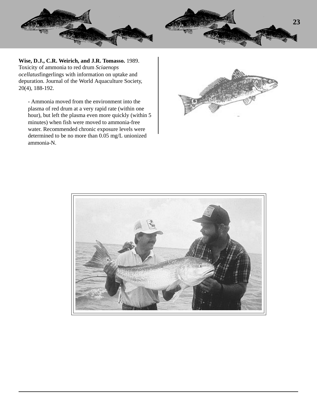

**Wise, D.J., C.R. Weirich, and J.R. Tomasso.** 1989. Toxicity of ammonia to red drum *Sciaenops ocellatus*fingerlings with information on uptake and depuration. Journal of the World Aquaculture Society, 20(4), 188-192.

- Ammonia moved from the environment into the plasma of red drum at a very rapid rate (within one hour), but left the plasma even more quickly (within 5 minutes) when fish were moved to ammonia-free water. Recommended chronic exposure levels were determined to be no more than 0.05 mg/L unionized ammonia-N.